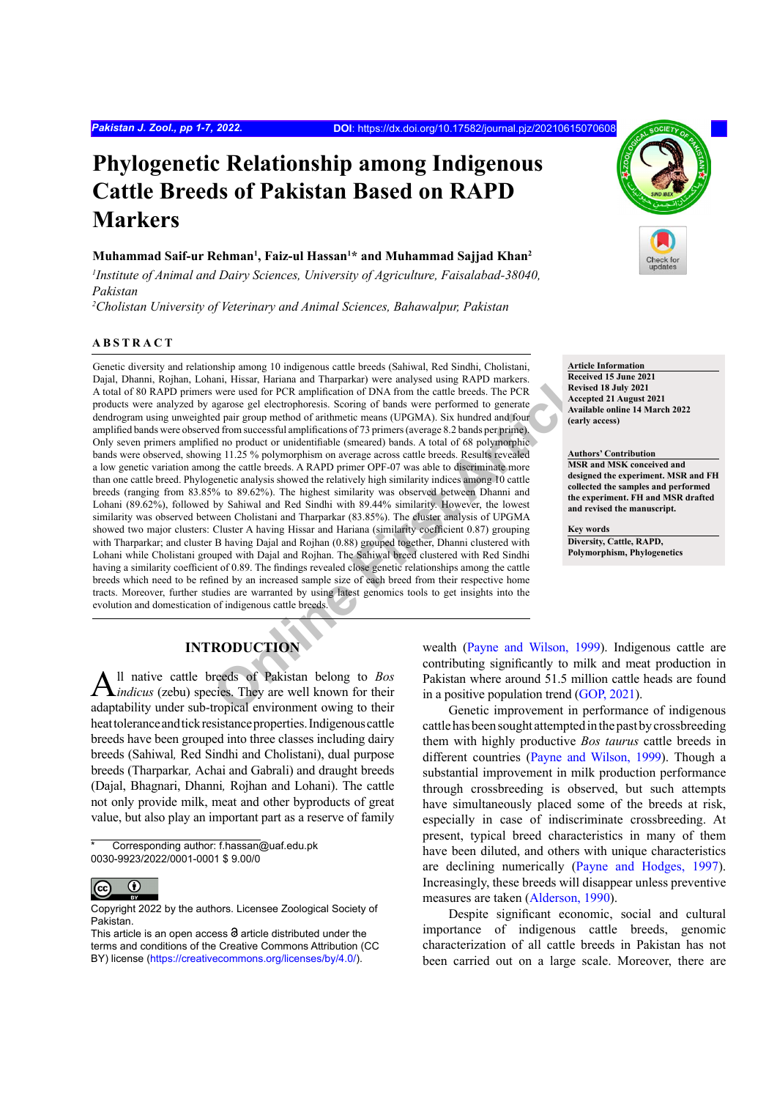# **Phylogenetic Relationship among Indigenous Cattle Breeds of Pakistan Based on RAPD Markers**

#### **Muhammad Saif-ur Rehman1 , Faiz-ul Hassan1 \* and Muhammad Sajjad Khan2**

*1 Institute of Animal and Dairy Sciences, University of Agriculture, Faisalabad-38040, Pakistan*

*2 Cholistan University of Veterinary and Animal Sciences, Bahawalpur, Pakistan*

#### **ABSTRACT**

mani, Hissar, Hariana and Tharparkar over each other forces and the same of PCR amplification of DNA from the catter breeds. The PCR application of DNA from the catter breeds. The PCR application of DNA from the catter bre Genetic diversity and relationship among 10 indigenous cattle breeds (Sahiwal, Red Sindhi, Cholistani, Dajal, Dhanni, Rojhan, Lohani, Hissar, Hariana and Tharparkar) were analysed using RAPD markers. A total of 80 RAPD primers were used for PCR amplification of DNA from the cattle breeds. The PCR products were analyzed by agarose gel electrophoresis. Scoring of bands were performed to generate dendrogram using unweighted pair group method of arithmetic means (UPGMA). Six hundred and four amplified bands were observed from successful amplifications of 73 primers (average 8.2 bands per prime). Only seven primers amplified no product or unidentifiable (smeared) bands. A total of 68 polymorphic bands were observed, showing 11.25 % polymorphism on average across cattle breeds. Results revealed a low genetic variation among the cattle breeds. A RAPD primer OPF-07 was able to discriminate more than one cattle breed. Phylogenetic analysis showed the relatively high similarity indices among 10 cattle breeds (ranging from 83.85% to 89.62%). The highest similarity was observed between Dhanni and Lohani (89.62%), followed by Sahiwal and Red Sindhi with 89.44% similarity. However, the lowest similarity was observed between Cholistani and Tharparkar (83.85%). The cluster analysis of UPGMA showed two major clusters: Cluster A having Hissar and Hariana (similarity coefficient 0.87) grouping with Tharparkar; and cluster B having Dajal and Rojhan (0.88) grouped together, Dhanni clustered with Lohani while Cholistani grouped with Dajal and Rojhan. The Sahiwal breed clustered with Red Sindhi having a similarity coefficient of 0.89. The findings revealed close genetic relationships among the cattle breeds which need to be refined by an increased sample size of each breed from their respective home tracts. Moreover, further studies are warranted by using latest genomics tools to get insights into the evolution and domestication of indigenous cattle breeds.

**Article Information Received 15 June 2021 Revised 18 July 2021 Accepted 21 August 2021 Available online 14 March 2022 (early access)**

**Authors' Contribution MSR and MSK conceived and designed the experiment. MSR and FH collected the samples and performed the experiment. FH and MSR drafted and revised the manuscript.**

**Key words Diversity, Cattle, RAPD, Polymorphism, Phylogenetics**

## **INTRODUCTION**

All native cattle breeds of Pakistan belong to *Bos indicus* (zebu) species. They are well known for their adaptability under sub-tropical environment owing to their heat tolerance and tick resistance properties. Indigenous cattle breeds have been grouped into three classes including dairy breeds (Sahiwal*,* Red Sindhi and Cholistani), dual purpose breeds (Tharparkar*,* Achai and Gabrali) and draught breeds (Dajal, Bhagnari, Dhanni*,* Rojhan and Lohani). The cattle not only provide milk, meat and other byproducts of great value, but also play an important part as a reserve of family

Corresponding author: f.hassan@uaf.edu.pk 0030-9923/2022/0001-0001 \$ 9.00/0



Copyright 2022 by the authors. Licensee Zoological Society of Pakistan.

wealth (Payne and Wilson, 1999). Indigenous cattle are contributing significantly to milk and meat production in Pakistan where around 51.5 million cattle heads are found in a positive population trend ([GOP, 2021](#page-5-0)).

Genetic improvement in performance of indigenous cattle has been sought attempted in the past by crossbreeding them with highly productive *Bos taurus* cattle breeds in different countries ([Payne and Wilson, 1999](#page-6-0)). Though a substantial improvement in milk production performance through crossbreeding is observed, but such attempts have simultaneously placed some of the breeds at risk, especially in case of indiscriminate crossbreeding. At present, typical breed characteristics in many of them have been diluted, and others with unique characteristics are declining numerically ([Payne and Hodges, 1997](#page-6-0)). Increasingly, these breeds will disappear unless preventive measures are taken ([Alderson, 1990](#page-5-1)).

Despite significant economic, social and cultural importance of indigenous cattle breeds, genomic characterization of all cattle breeds in Pakistan has not been carried out on a large scale. Moreover, there are

This article is an open access  $\Theta$  article distributed under the terms and conditions of the Creative Commons Attribution (CC BY) license (https://creativecommons.org/licenses/by/4.0/).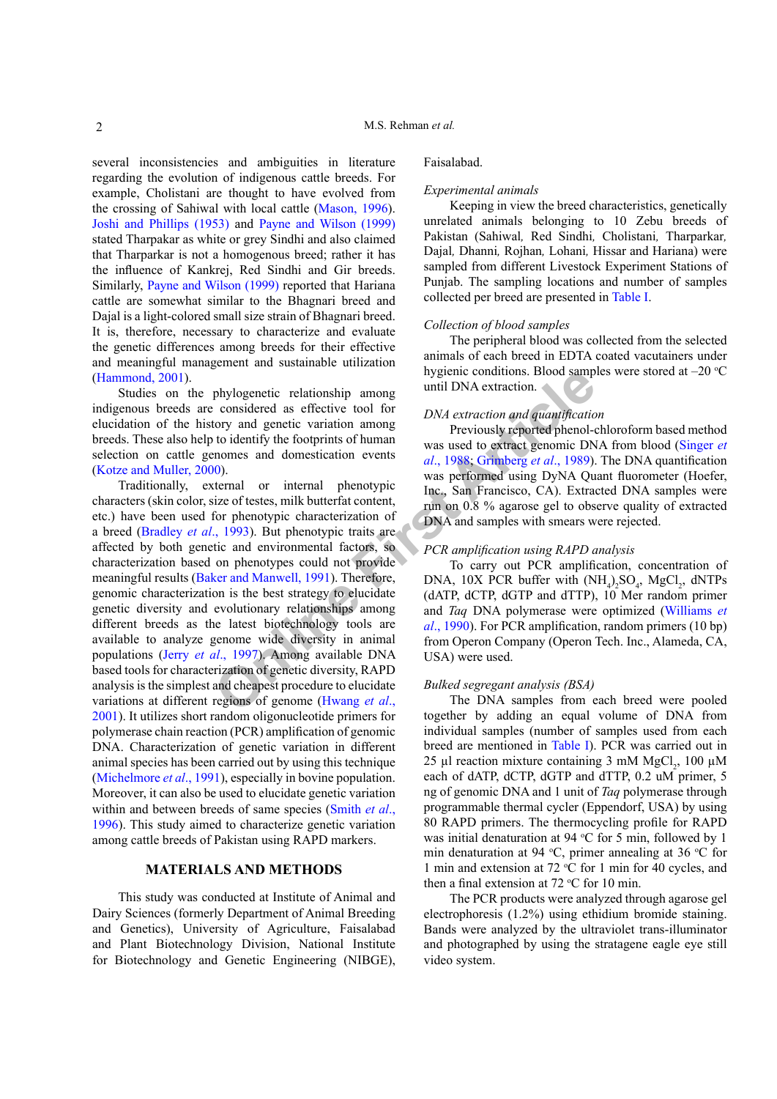several inconsistencies and ambiguities in literature regarding the evolution of indigenous cattle breeds. For example, Cholistani are thought to have evolved from the crossing of Sahiwal with local cattle ([Mason, 1996](#page-6-1)). [Joshi and Phillips \(1953\)](#page-5-2) and [Payne and Wilson \(1999\)](#page-6-0) stated Tharpakar as white or grey Sindhi and also claimed that Tharparkar is not a homogenous breed; rather it has the influence of Kankrej, Red Sindhi and Gir breeds. Similarly, [Payne and Wilson \(1999\)](#page-6-0) reported that Hariana cattle are somewhat similar to the Bhagnari breed and Dajal is a light-colored small size strain of Bhagnari breed. It is, therefore, necessary to characterize and evaluate the genetic differences among breeds for their effective and meaningful management and sustainable utilization ([Hammond, 2001](#page-5-3)).

Studies on the phylogenetic relationship among indigenous breeds are considered as effective tool for elucidation of the history and genetic variation among breeds. These also help to identify the footprints of human selection on cattle genomes and domestication events ([Kotze and Muller, 2000](#page-6-2)).

**ONA** [e](#page-5-5)xtraction and stationary in the set of the set of the set of the set of the set of the set of the set of the set of the set of the set of the set of the set of the set of the set of the set of the set of the set of Traditionally, external or internal phenotypic characters (skin color, size of testes, milk butterfat content, etc.) have been used for phenotypic characterization of a breed (Bradley *et al*., 1993). But phenotypic traits are affected by both genetic and environmental factors, so characterization based on phenotypes could not provide meaningful results (Baker and Manwell, 1991). Therefore, genomic characterization is the best strategy to elucidate genetic diversity and evolutionary relationships among different breeds as the latest biotechnology tools are available to analyze genome wide diversity in animal populations (Jerry *et al*., 1997). Among available DNA based tools for characterization of genetic diversity, RAPD analysis is the simplest and cheapest procedure to elucidate variations at different regions of genome (Hwang *et al*., [2001](#page-5-7)). It utilizes short random oligonucleotide primers for polymerase chain reaction (PCR) amplification of genomic DNA. Characterization of genetic variation in different animal species has been carried out by using this technique [\(Michelmore](#page-6-3) *et al*., 1991), especially in bovine population. Moreover, it can also be used to elucidate genetic variation within and between breeds of same species ([Smith](#page-6-4) *et al*., [1996](#page-6-4)). This study aimed to characterize genetic variation among cattle breeds of Pakistan using RAPD markers.

#### **MATERIALS AND METHODS**

This study was conducted at Institute of Animal and Dairy Sciences (formerly Department of Animal Breeding and Genetics), University of Agriculture, Faisalabad and Plant Biotechnology Division, National Institute for Biotechnology and Genetic Engineering (NIBGE),

#### Faisalabad.

#### *Experimental animals*

Keeping in view the breed characteristics, genetically unrelated animals belonging to 10 Zebu breeds of Pakistan (Sahiwal*,* Red Sindhi*,* Cholistani*,* Tharparkar*,*  Dajal*,* Dhanni*,* Rojhan*,* Lohani*,* Hissar and Hariana) were sampled from different Livestock Experiment Stations of Punjab. The sampling locations and number of samples collected per breed are presented in [Table I.](#page-2-0)

#### *Collection of blood samples*

The peripheral blood was collected from the selected animals of each breed in EDTA coated vacutainers under hygienic conditions. Blood samples were stored at  $-20$  °C until DNA extraction.

#### *DNA extraction and quantification*

Previously reported phenol-chloroform based method was used to extract genomic DNA from blood ([Singer](#page-6-5) *et al*., 1988; Grimberg *et al*., 1989). The DNA quantification was performed using DyNA Quant fluorometer (Hoefer, Inc., San Francisco, CA). Extracted DNA samples were run on 0.8 % agarose gel to observe quality of extracted DNA and samples with smears were rejected.

#### *PCR amplification using RAPD analysis*

To carry out PCR amplification, concentration of DNA, 10X PCR buffer with  $(NH_4)_2SO_4$ , MgCl<sub>2</sub>, dNTPs (dATP, dCTP, dGTP and dTTP), 10 Mer random primer and *Taq* DNA polymerase were optimized ([Williams](#page-6-6) *et al*., 1990). For PCR amplification, random primers (10 bp) from Operon Company (Operon Tech. Inc., Alameda, CA, USA) were used.

#### *Bulked segregant analysis (BSA)*

The DNA samples from each breed were pooled together by adding an equal volume of DNA from individual samples (number of samples used from each breed are mentioned in [Table I\)](#page-2-0). PCR was carried out in 25 µl reaction mixture containing 3 mM  $MgCl<sub>2</sub>$ , 100 µM each of dATP, dCTP, dGTP and dTTP, 0.2 uM primer, 5 ng of genomic DNA and 1 unit of *Taq* polymerase through programmable thermal cycler (Eppendorf, USA) by using 80 RAPD primers. The thermocycling profile for RAPD was initial denaturation at 94  $\mathrm{C}$  for 5 min, followed by 1 min denaturation at 94 °C, primer annealing at 36 °C for 1 min and extension at 72 °C for 1 min for 40 cycles, and then a final extension at  $72 °C$  for 10 min.

The PCR products were analyzed through agarose gel electrophoresis (1.2%) using ethidium bromide staining. Bands were analyzed by the ultraviolet trans-illuminator and photographed by using the stratagene eagle eye still video system.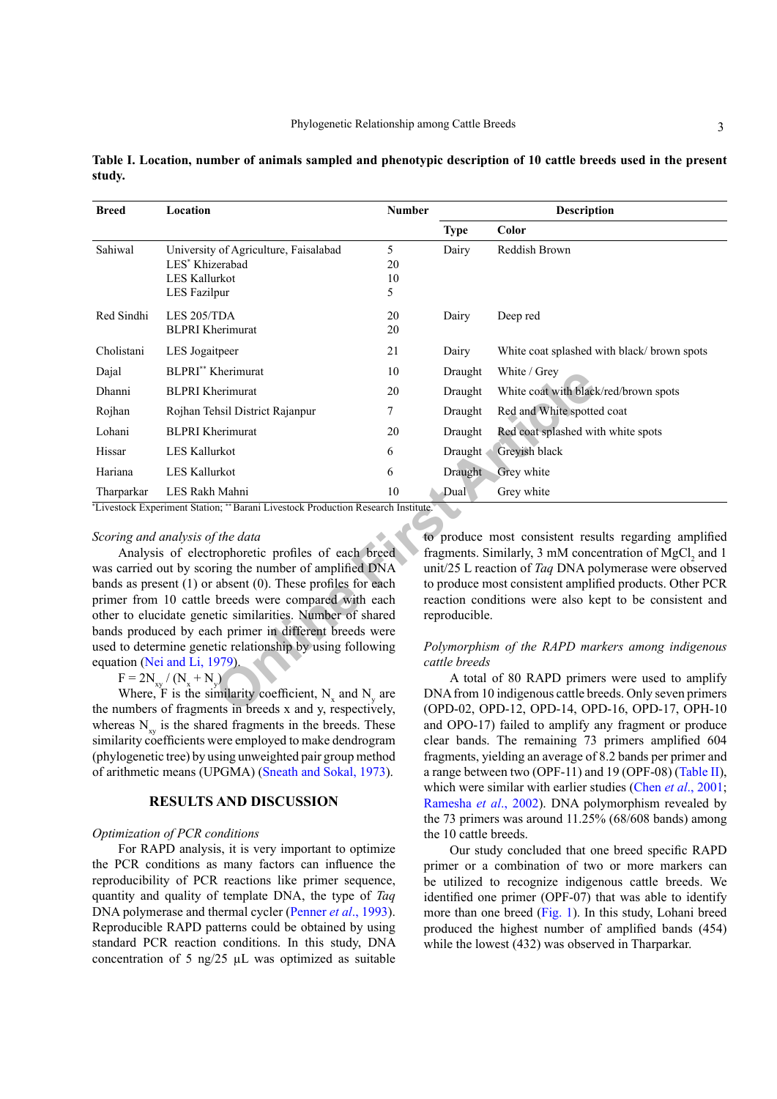| <b>Breed</b> | Location                                                                                                                                         | <b>Number</b> |               | <b>Description</b>                                                                                                                                                          |  |  |  |
|--------------|--------------------------------------------------------------------------------------------------------------------------------------------------|---------------|---------------|-----------------------------------------------------------------------------------------------------------------------------------------------------------------------------|--|--|--|
|              |                                                                                                                                                  |               | <b>Type</b>   | Color                                                                                                                                                                       |  |  |  |
| Sahiwal      | University of Agriculture, Faisalabad<br>LES* Khizerabad                                                                                         | 5<br>20       | Dairy         | Reddish Brown                                                                                                                                                               |  |  |  |
|              | LES Kallurkot<br><b>LES Fazilpur</b>                                                                                                             | 10<br>5       |               |                                                                                                                                                                             |  |  |  |
| Red Sindhi   | LES 205/TDA<br><b>BLPRI</b> Kherimurat                                                                                                           | 20<br>20      | Dairy         | Deep red                                                                                                                                                                    |  |  |  |
| Cholistani   | LES Jogaitpeer                                                                                                                                   | 21            | Dairy         | White coat splashed with black/ brown spots                                                                                                                                 |  |  |  |
| Dajal        | BLPRI** Kherimurat                                                                                                                               | 10            | Draught       | White / Grey                                                                                                                                                                |  |  |  |
| Dhanni       | <b>BLPRI</b> Kherimurat                                                                                                                          | 20            | Draught       | White coat with black/red/brown spots                                                                                                                                       |  |  |  |
| Rojhan       | Rojhan Tehsil District Rajanpur                                                                                                                  | 7             | Draught       | Red and White spotted coat                                                                                                                                                  |  |  |  |
| Lohani       | <b>BLPRI</b> Kherimurat                                                                                                                          | 20            | Draught       | Red coat splashed with white spots                                                                                                                                          |  |  |  |
| Hissar       | <b>LES Kallurkot</b>                                                                                                                             | 6             | Draught       | Greyish black                                                                                                                                                               |  |  |  |
| Hariana      | <b>LES Kallurkot</b>                                                                                                                             | 6             | Draught       | Grey white                                                                                                                                                                  |  |  |  |
| Tharparkar   | LES Rakh Mahni                                                                                                                                   | 10            | Dual          | Grey white                                                                                                                                                                  |  |  |  |
|              | *Livestock Experiment Station; ** Barani Livestock Production Research Institute.                                                                |               |               |                                                                                                                                                                             |  |  |  |
|              | Scoring and analysis of the data<br>Analysis of electrophoretic profiles of each breed<br>was carried out by scoring the number of amplified DNA |               |               | to produce most consistent results regarding amplified<br>fragments. Similarly, 3 mM concentration of MgCl, and 1<br>unit/25 L reaction of Taq DNA polymerase were observed |  |  |  |
|              | bands as present $(1)$ or absent $(0)$ . These profiles for each                                                                                 |               |               | to produce most consistent amplified products. Other PCR                                                                                                                    |  |  |  |
|              | primer from 10 cattle breeds were compared with each<br>other to elucidate genetic similarities. Number of shared                                |               | reproducible. | reaction conditions were also kept to be consistent and                                                                                                                     |  |  |  |
|              | bands produced by each primer in different breeds were                                                                                           |               |               |                                                                                                                                                                             |  |  |  |
|              | used to determine genetic relationship by using following                                                                                        |               |               | Polymorphism of the RAPD markers among indigenous                                                                                                                           |  |  |  |
|              | equation (Nei and Li, 1979).<br>$F = 2N_{xy} / (N_x + N_y)$                                                                                      |               | cattle breeds | A total of 80 RAPD primers were used to amplify                                                                                                                             |  |  |  |
|              | Where, F is the similarity coefficient, $N_x$ and $N_y$ are<br>the numbers of fragments in breeds x and y, respectively.                         |               |               | DNA from 10 indigenous cattle breeds. Only seven primers<br>(OPD-02, OPD-12, OPD-14, OPD-16, OPD-17, OPH-10                                                                 |  |  |  |
|              |                                                                                                                                                  |               |               |                                                                                                                                                                             |  |  |  |

<span id="page-2-0"></span>**Table I. Location, number of animals sampled and phenotypic description of 10 cattle breeds used in the present study.**

#### *Scoring and analysis of the data*

Where, F is the similarity coefficient,  $N_x$  and  $N_y$  are the numbers of fragments in breeds x and y, respectively, whereas  $N_{xy}$  is the shared fragments in the breeds. These similarity coefficients were employed to make dendrogram (phylogenetic tree) by using unweighted pair group method of arithmetic means (UPGMA) ([Sneath and Sokal, 1973](#page-6-8)).

#### **RESULTS AND DISCUSSION**

#### *Optimization of PCR conditions*

For RAPD analysis, it is very important to optimize the PCR conditions as many factors can influence the reproducibility of PCR reactions like primer sequence, quantity and quality of template DNA, the type of *Taq* DNA polymerase and thermal cycler ([Penner](#page-6-9) *et al*., 1993). Reproducible RAPD patterns could be obtained by using standard PCR reaction conditions. In this study, DNA concentration of 5 ng/25  $\mu$ L was optimized as suitable

#### *Polymorphism of the RAPD markers among indigenous cattle breeds*

A total of 80 RAPD primers were used to amplify DNA from 10 indigenous cattle breeds. Only seven primers (OPD-02, OPD-12, OPD-14, OPD-16, OPD-17, OPH-10 and OPO-17) failed to amplify any fragment or produce clear bands. The remaining 73 primers amplified 604 fragments, yielding an average of 8.2 bands per primer and a range between two (OPF-11) and 19 (OPF-08) ([Table II](#page-4-0)), which were similar with earlier studies (Chen *et al*[., 2001](#page-5-9); [Ramesha](#page-6-10) *et al*., 2002). DNA polymorphism revealed by the 73 primers was around 11.25% (68/608 bands) among the 10 cattle breeds.

Our study concluded that one breed specific RAPD primer or a combination of two or more markers can be utilized to recognize indigenous cattle breeds. We identified one primer (OPF-07) that was able to identify more than one breed ([Fig. 1\)](#page-3-0). In this study, Lohani breed produced the highest number of amplified bands (454) while the lowest (432) was observed in Tharparkar.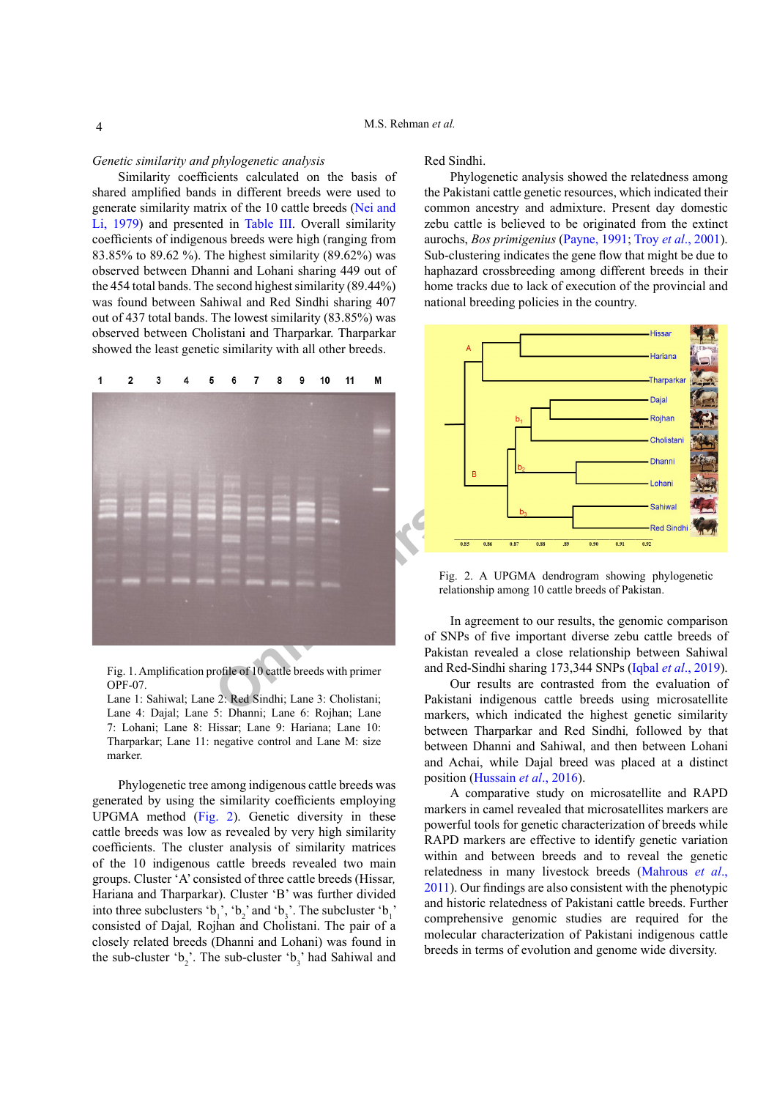#### *Genetic similarity and phylogenetic analysis*

Similarity coefficients calculated on the basis of shared amplified bands in different breeds were used to generate similarity matrix of the 10 cattle breeds ([Nei and](#page-6-7) [Li, 1979](#page-6-7)) and presented in [Table III.](#page-5-10) Overall similarity coefficients of indigenous breeds were high (ranging from 83.85% to 89.62 %). The highest similarity (89.62%) was observed between Dhanni and Lohani sharing 449 out of the 454 total bands. The second highest similarity (89.44%) was found between Sahiwal and Red Sindhi sharing 407 out of 437 total bands. The lowest similarity (83.85%) was observed between Cholistani and Tharparkar. Tharparkar showed the least genetic similarity with all other breeds.



<span id="page-3-0"></span>Fig. 1. Amplification profile of 10 cattle breeds with primer OPF-07.

Lane 1: Sahiwal; Lane 2: Red Sindhi; Lane 3: Cholistani; Lane 4: Dajal; Lane 5: Dhanni; Lane 6: Rojhan; Lane 7: Lohani; Lane 8: Hissar; Lane 9: Hariana; Lane 10: Tharparkar; Lane 11: negative control and Lane M: size marker.

Phylogenetic tree among indigenous cattle breeds was generated by using the similarity coefficients employing UPGMA method ([Fig. 2](#page-3-1)). Genetic diversity in these cattle breeds was low as revealed by very high similarity coefficients. The cluster analysis of similarity matrices of the 10 indigenous cattle breeds revealed two main groups. Cluster 'A' consisted of three cattle breeds (Hissar*,*  Hariana and Tharparkar). Cluster 'B' was further divided into three subclusters ' $b_1$ ', ' $b_2$ ' and ' $b_3$ '. The subcluster ' $b_1$ ' consisted of Dajal*,* Rojhan and Cholistani. The pair of a closely related breeds (Dhanni and Lohani) was found in the sub-cluster ' $b_2$ '. The sub-cluster ' $b_3$ ' had Sahiwal and Red Sindhi.

Phylogenetic analysis showed the relatedness among the Pakistani cattle genetic resources, which indicated their common ancestry and admixture. Present day domestic zebu cattle is believed to be originated from the extinct aurochs, *Bos primigenius* ([Payne, 1991](#page-6-0); Troy *et al*[., 2001](#page-6-11)). Sub-clustering indicates the gene flow that might be due to haphazard crossbreeding among different breeds in their home tracks due to lack of execution of the provincial and national breeding policies in the country.



<span id="page-3-1"></span>Fig. 2. A UPGMA dendrogram showing phylogenetic relationship among 10 cattle breeds of Pakistan.

In agreement to our results, the genomic comparison of SNPs of five important diverse zebu cattle breeds of Pakistan revealed a close relationship between Sahiwal and Red-Sindhi sharing 173,344 SNPs (Iqbal *et al*[., 2019](#page-5-11)).

Our results are contrasted from the evaluation of Pakistani indigenous cattle breeds using microsatellite markers, which indicated the highest genetic similarity between Tharparkar and Red Sindhi*,* followed by that between Dhanni and Sahiwal, and then between Lohani and Achai, while Dajal breed was placed at a distinct position [\(Hussain](#page-5-12) *et al*., 2016).

A comparative study on microsatellite and RAPD markers in camel revealed that microsatellites markers are powerful tools for genetic characterization of breeds while RAPD markers are effective to identify genetic variation within and between breeds and to reveal the genetic relatedness in many livestock breeds ([Mahrous](#page-6-12) *et al*., [2011\)](#page-6-12). Our findings are also consistent with the phenotypic and historic relatedness of Pakistani cattle breeds. Further comprehensive genomic studies are required for the molecular characterization of Pakistani indigenous cattle breeds in terms of evolution and genome wide diversity.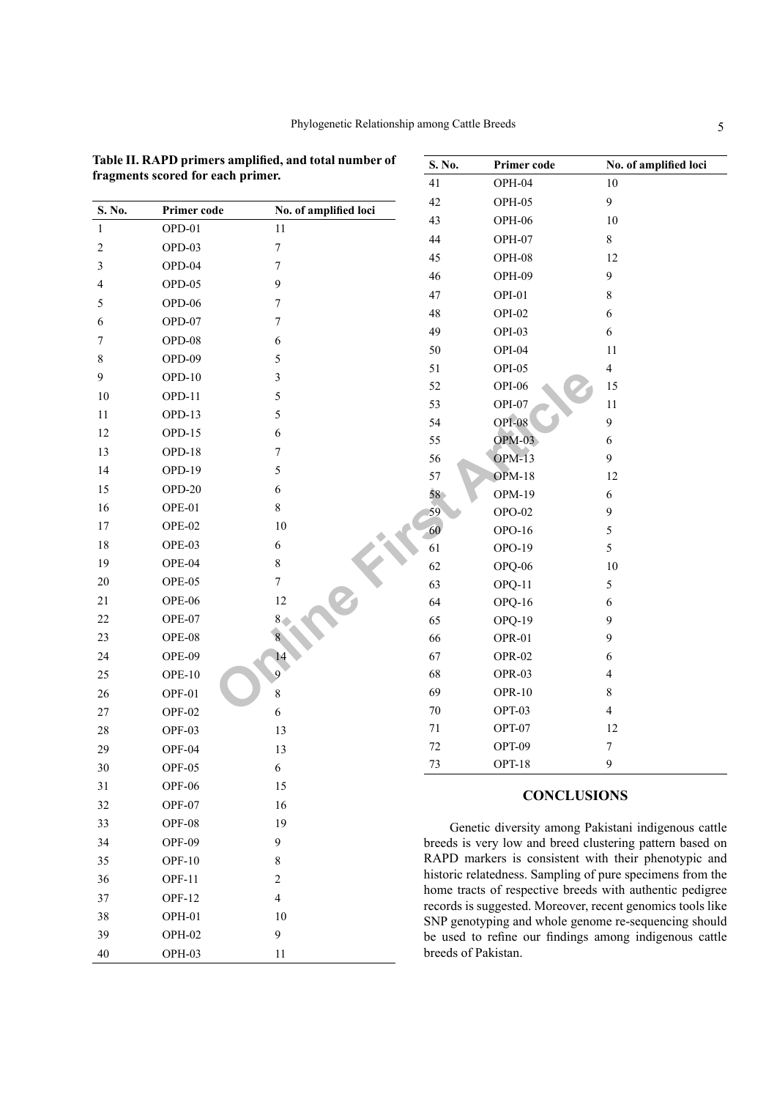|                          |               |                       | 41<br>OPH-04                                                         |  |
|--------------------------|---------------|-----------------------|----------------------------------------------------------------------|--|
| S. No.                   | Primer code   | No. of amplified loci | 42<br>OPH-05                                                         |  |
| $\mathbf{1}$             | OPD-01        | 11                    | 43<br>OPH-06                                                         |  |
| $\sqrt{2}$               | OPD-03        | $\boldsymbol{7}$      | 44<br>OPH-07                                                         |  |
| $\mathfrak{Z}$           | OPD-04        | $\boldsymbol{7}$      | 45<br>OPH-08                                                         |  |
| $\overline{\mathcal{L}}$ | OPD-05        | 9                     | 46<br>OPH-09                                                         |  |
| 5                        | OPD-06        | $\tau$                | 47<br>OPI-01                                                         |  |
| 6                        | OPD-07        | $\tau$                | 48<br>OPI-02                                                         |  |
| $\tau$                   | OPD-08        | 6                     | 49<br>OPI-03                                                         |  |
| $\,$ 8 $\,$              | OPD-09        | 5                     | 50<br>OPI-04                                                         |  |
| 9                        | $OPD-10$      | 3                     | 51<br>OPI-05                                                         |  |
| 10                       | OPD-11        | 5                     | 52<br>OPI-06                                                         |  |
| 11                       | OPD-13        | 5                     | 53<br>OPI-07                                                         |  |
| 12                       | OPD-15        | 6                     | <b>OPI-08</b><br>54                                                  |  |
| 13                       | <b>OPD-18</b> | $\tau$                | $OPM-03$<br>55                                                       |  |
| 14                       | OPD-19        | 5                     | <b>OPM-13</b><br>56                                                  |  |
| 15                       | OPD-20        | 6                     | 57<br>$OPM-18$<br>58<br><b>OPM-19</b>                                |  |
| 16                       | OPE-01        | $\,8\,$               | 59<br>$OPO-02$                                                       |  |
| 17                       | OPE-02        | $10\,$                | 60<br>OPO-16                                                         |  |
| 18                       | OPE-03        | $\sqrt{6}$            | 61<br>OPO-19                                                         |  |
| 19                       | OPE-04        | $\,$ 8 $\,$           | 62<br>OPQ-06                                                         |  |
| $20\,$                   | OPE-05        | $\tau$                | 63<br>OPQ-11                                                         |  |
| 21                       | OPE-06        | $12\,$                | 64<br>OPQ-16                                                         |  |
| $22\,$                   | OPE-07        | 8                     | 65<br>OPQ-19                                                         |  |
| 23                       | OPE-08        | 8                     | 66<br>OPR-01                                                         |  |
| 24                       | OPE-09        | 14                    | 67<br>OPR-02                                                         |  |
| $25\,$                   | OPE-10        | 9                     | 68<br>OPR-03                                                         |  |
| 26                       | OPF-01        | 8                     | 69<br>OPR-10                                                         |  |
| $27\,$                   | OPF-02        | 6                     | $70\,$<br>OPT-03                                                     |  |
| 28                       | OPF-03        | 13                    | $71\,$<br>OPT-07                                                     |  |
| 29                       | OPF-04        | 13                    | $72\,$<br>OPT-09                                                     |  |
| 30                       | OPF-05        | 6                     | 73<br>OPT-18                                                         |  |
| 31                       | <b>OPF-06</b> | 15                    |                                                                      |  |
| 32                       | OPF-07        | 16                    | <b>CONCLUSI</b>                                                      |  |
| 33                       | OPF-08        | 19                    | Genetic diversity among Pa                                           |  |
| 34                       | OPF-09        | 9                     | breeds is very low and breed clu                                     |  |
| 35                       | <b>OPF-10</b> | 8                     | RAPD markers is consistent wi                                        |  |
| 36                       | <b>OPF-11</b> | 2                     | historic relatedness. Sampling of                                    |  |
| 37                       | <b>OPF-12</b> | 4                     | home tracts of respective breeds                                     |  |
| 38                       | OPH-01        | 10                    | records is suggested. Moreover, re<br>SNP genotyping and whole genor |  |
| 39                       | OPH-02        | 9                     | be used to refine our findings a                                     |  |
| 40                       | OPH-03        | 11                    | breeds of Pakistan.                                                  |  |
|                          |               |                       |                                                                      |  |

<span id="page-4-0"></span>**Table II. RAPD primers amplified, and total number of** 

**fragments scored for each primer.**

| 41<br>OPH-04<br>10<br>9<br>42<br>OPH-05<br>43<br>OPH-06<br>10<br>44<br>8<br>OPH-07<br>45<br>OPH-08<br>12<br>46<br>OPH-09<br>9<br>8<br>47<br>OPI-01<br>6<br>48<br>OPI-02<br>49<br>6<br>OPI-03<br>50<br>11<br>OPI-04<br>$\overline{4}$<br>51<br>OPI-05<br>52<br><b>OPI-06</b><br>15<br>53<br>11<br>OPI-07<br>OPI-08<br>9<br>54<br>$OPM-03$<br>55<br>6<br>OPM-13<br>9<br>56<br><b>OPM-18</b><br>57<br>12<br>58<br><b>OPM-19</b><br>6<br>59<br>9<br><b>OPO-02</b><br>60<br>5<br>OPO-16<br>5<br>61<br>OPO-19<br>62<br>OPQ-06<br>10<br>63<br>OPQ-11<br>5<br>64<br>6<br>OPQ-16<br>9<br>65<br>OPQ-19<br>9<br>66<br>OPR-01<br>67<br>6<br>OPR-02<br>$\overline{4}$<br>68<br>OPR-03<br>69<br>8<br>OPR-10<br>$\overline{4}$<br>70<br>OPT-03<br>71<br>OPT-07<br>12<br>OPT-09<br>$\overline{7}$<br>72<br>73<br>OPT-18<br>9 | S. No. | Primer code | No. of amplified loci |
|--------------------------------------------------------------------------------------------------------------------------------------------------------------------------------------------------------------------------------------------------------------------------------------------------------------------------------------------------------------------------------------------------------------------------------------------------------------------------------------------------------------------------------------------------------------------------------------------------------------------------------------------------------------------------------------------------------------------------------------------------------------------------------------------------------------|--------|-------------|-----------------------|
|                                                                                                                                                                                                                                                                                                                                                                                                                                                                                                                                                                                                                                                                                                                                                                                                              |        |             |                       |
|                                                                                                                                                                                                                                                                                                                                                                                                                                                                                                                                                                                                                                                                                                                                                                                                              |        |             |                       |
|                                                                                                                                                                                                                                                                                                                                                                                                                                                                                                                                                                                                                                                                                                                                                                                                              |        |             |                       |
|                                                                                                                                                                                                                                                                                                                                                                                                                                                                                                                                                                                                                                                                                                                                                                                                              |        |             |                       |
|                                                                                                                                                                                                                                                                                                                                                                                                                                                                                                                                                                                                                                                                                                                                                                                                              |        |             |                       |
|                                                                                                                                                                                                                                                                                                                                                                                                                                                                                                                                                                                                                                                                                                                                                                                                              |        |             |                       |
|                                                                                                                                                                                                                                                                                                                                                                                                                                                                                                                                                                                                                                                                                                                                                                                                              |        |             |                       |
|                                                                                                                                                                                                                                                                                                                                                                                                                                                                                                                                                                                                                                                                                                                                                                                                              |        |             |                       |
|                                                                                                                                                                                                                                                                                                                                                                                                                                                                                                                                                                                                                                                                                                                                                                                                              |        |             |                       |
|                                                                                                                                                                                                                                                                                                                                                                                                                                                                                                                                                                                                                                                                                                                                                                                                              |        |             |                       |
|                                                                                                                                                                                                                                                                                                                                                                                                                                                                                                                                                                                                                                                                                                                                                                                                              |        |             |                       |
|                                                                                                                                                                                                                                                                                                                                                                                                                                                                                                                                                                                                                                                                                                                                                                                                              |        |             |                       |
|                                                                                                                                                                                                                                                                                                                                                                                                                                                                                                                                                                                                                                                                                                                                                                                                              |        |             |                       |
|                                                                                                                                                                                                                                                                                                                                                                                                                                                                                                                                                                                                                                                                                                                                                                                                              |        |             |                       |
|                                                                                                                                                                                                                                                                                                                                                                                                                                                                                                                                                                                                                                                                                                                                                                                                              |        |             |                       |
|                                                                                                                                                                                                                                                                                                                                                                                                                                                                                                                                                                                                                                                                                                                                                                                                              |        |             |                       |
|                                                                                                                                                                                                                                                                                                                                                                                                                                                                                                                                                                                                                                                                                                                                                                                                              |        |             |                       |
|                                                                                                                                                                                                                                                                                                                                                                                                                                                                                                                                                                                                                                                                                                                                                                                                              |        |             |                       |
|                                                                                                                                                                                                                                                                                                                                                                                                                                                                                                                                                                                                                                                                                                                                                                                                              |        |             |                       |
|                                                                                                                                                                                                                                                                                                                                                                                                                                                                                                                                                                                                                                                                                                                                                                                                              |        |             |                       |
|                                                                                                                                                                                                                                                                                                                                                                                                                                                                                                                                                                                                                                                                                                                                                                                                              |        |             |                       |
|                                                                                                                                                                                                                                                                                                                                                                                                                                                                                                                                                                                                                                                                                                                                                                                                              |        |             |                       |
|                                                                                                                                                                                                                                                                                                                                                                                                                                                                                                                                                                                                                                                                                                                                                                                                              |        |             |                       |
|                                                                                                                                                                                                                                                                                                                                                                                                                                                                                                                                                                                                                                                                                                                                                                                                              |        |             |                       |
|                                                                                                                                                                                                                                                                                                                                                                                                                                                                                                                                                                                                                                                                                                                                                                                                              |        |             |                       |
|                                                                                                                                                                                                                                                                                                                                                                                                                                                                                                                                                                                                                                                                                                                                                                                                              |        |             |                       |
|                                                                                                                                                                                                                                                                                                                                                                                                                                                                                                                                                                                                                                                                                                                                                                                                              |        |             |                       |
|                                                                                                                                                                                                                                                                                                                                                                                                                                                                                                                                                                                                                                                                                                                                                                                                              |        |             |                       |
|                                                                                                                                                                                                                                                                                                                                                                                                                                                                                                                                                                                                                                                                                                                                                                                                              |        |             |                       |
|                                                                                                                                                                                                                                                                                                                                                                                                                                                                                                                                                                                                                                                                                                                                                                                                              |        |             |                       |
|                                                                                                                                                                                                                                                                                                                                                                                                                                                                                                                                                                                                                                                                                                                                                                                                              |        |             |                       |
|                                                                                                                                                                                                                                                                                                                                                                                                                                                                                                                                                                                                                                                                                                                                                                                                              |        |             |                       |
|                                                                                                                                                                                                                                                                                                                                                                                                                                                                                                                                                                                                                                                                                                                                                                                                              |        |             |                       |

# **CONCLUSIONS**

Genetic diversity among Pakistani indigenous cattle breeds is very low and breed clustering pattern based on RAPD markers is consistent with their phenotypic and historic relatedness. Sampling of pure specimens from the home tracts of respective breeds with authentic pedigree records is suggested. Moreover, recent genomics tools like SNP genotyping and whole genome re-sequencing should be used to refine our findings among indigenous cattle breeds of Pakistan.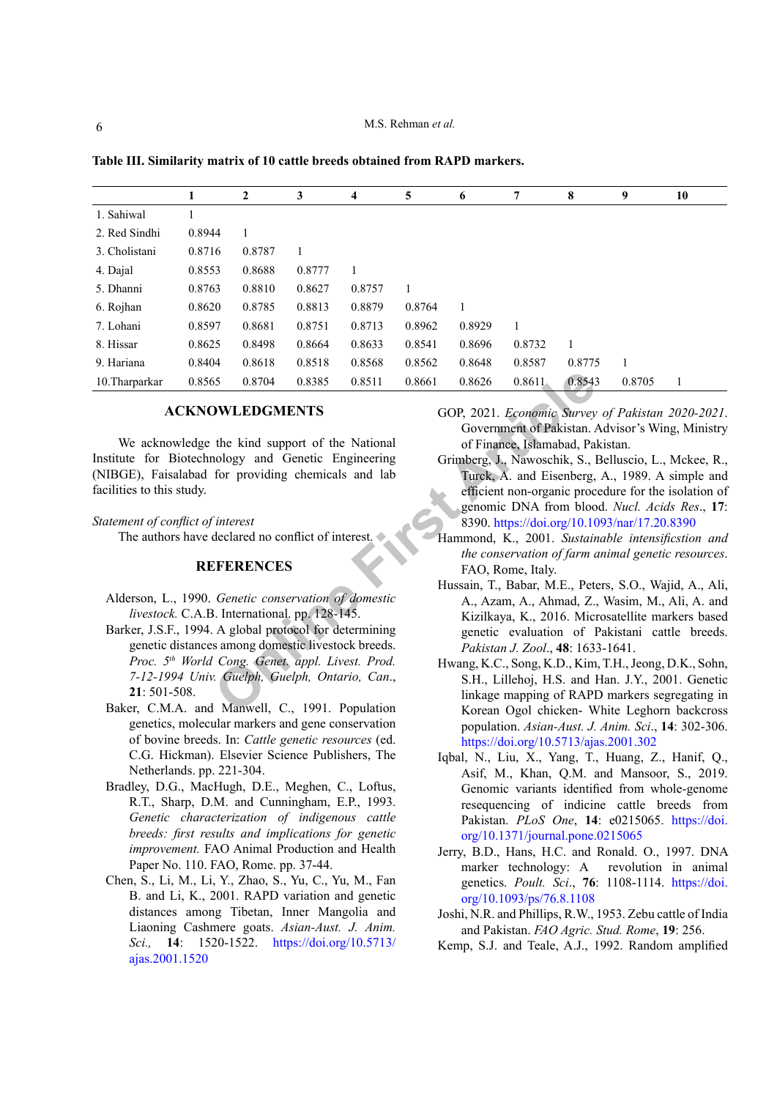|                |        | 2      | 3      | 4      | 5      | 6      | 7      | 8      | 9      | 10 |
|----------------|--------|--------|--------|--------|--------|--------|--------|--------|--------|----|
| 1. Sahiwal     |        |        |        |        |        |        |        |        |        |    |
| 2. Red Sindhi  | 0.8944 |        |        |        |        |        |        |        |        |    |
| 3. Cholistani  | 0.8716 | 0.8787 |        |        |        |        |        |        |        |    |
| 4. Dajal       | 0.8553 | 0.8688 | 0.8777 | 1      |        |        |        |        |        |    |
| 5. Dhanni      | 0.8763 | 0.8810 | 0.8627 | 0.8757 | 1      |        |        |        |        |    |
| 6. Rojhan      | 0.8620 | 0.8785 | 0.8813 | 0.8879 | 0.8764 |        |        |        |        |    |
| 7. Lohani      | 0.8597 | 0.8681 | 0.8751 | 0.8713 | 0.8962 | 0.8929 |        |        |        |    |
| 8. Hissar      | 0.8625 | 0.8498 | 0.8664 | 0.8633 | 0.8541 | 0.8696 | 0.8732 |        |        |    |
| 9. Hariana     | 0.8404 | 0.8618 | 0.8518 | 0.8568 | 0.8562 | 0.8648 | 0.8587 | 0.8775 | 1      |    |
| 10. Tharparkar | 0.8565 | 0.8704 | 0.8385 | 0.8511 | 0.8661 | 0.8626 | 0.8611 | 0.8543 | 0.8705 |    |

<span id="page-5-10"></span>**Table III. Similarity matrix of 10 cattle breeds obtained from RAPD markers.**

### **ACKNOWLEDGMENTS**

We acknowledge the kind support of the National Institute for Biotechnology and Genetic Engineering (NIBGE), Faisalabad for providing chemicals and lab facilities to this study.

#### *Statement of conflict of interest*

The authors have declared no conflict of interest.

#### **REFERENCES**

- <span id="page-5-4"></span><span id="page-5-1"></span>Alderson, L., 1990. *Genetic conservation of domestic livestock.* C.A.B. International. pp. 128-145.
- **ONLEDGMENTS**<br> **ONLEDGMENTS**<br> **ONLEDGMENTS**<br> **ONLEDGMENTS**<br> **ONLEDGMENTS**<br> **ONLEDGMENTS**<br> **ONLEDGMENTS**<br> **ONE COP, 2021.** *Economic Survey*<br> **OOP, 2021.** *Economic Survey*<br> **ONE COP, 2021.** *Economic Survey*<br> **ONE COP, 202** Barker, J.S.F., 1994. A global protocol for determining genetic distances among domestic livestock breeds. *Proc. 5th World Cong. Genet. appl. Livest. Prod. 7-12-1994 Univ. Guelph, Guelph, Ontario, Can*., **21**: 501-508.
- <span id="page-5-5"></span>Baker, C.M.A. and Manwell, C., 1991. Population genetics, molecular markers and gene conservation of bovine breeds. In: *Cattle genetic resources* (ed. C.G. Hickman). Elsevier Science Publishers, The Netherlands. pp. 221-304.
- Bradley, D.G., MacHugh, D.E., Meghen, C., Loftus, R.T., Sharp, D.M. and Cunningham, E.P., 1993. *Genetic characterization of indigenous cattle breeds: first results and implications for genetic improvement.* FAO Animal Production and Health Paper No. 110. FAO, Rome. pp. 37-44.
- <span id="page-5-9"></span>Chen, S., Li, M., Li, Y., Zhao, S., Yu, C., Yu, M., Fan B. and Li, K., 2001. RAPD variation and genetic distances among Tibetan, Inner Mangolia and Liaoning Cashmere goats. *Asian-Aust. J. Anim. Sci.,* **14**: 1520-1522. [https://doi.org/10.5713/](https://doi.org/10.5713/ajas.2001.1520) [ajas.2001.1520](https://doi.org/10.5713/ajas.2001.1520)
- <span id="page-5-0"></span>GOP, 2021. *Economic Survey of Pakistan 2020-2021*. Government of Pakistan. Advisor's Wing, Ministry of Finance, Islamabad, Pakistan.
- <span id="page-5-8"></span>Grimberg, J., Nawoschik, S., Belluscio, L., Mckee, R., Turck, A. and Eisenberg, A., 1989. A simple and efficient non-organic procedure for the isolation of genomic DNA from blood. *Nucl. Acids Res*., **17**: 8390.<https://doi.org/10.1093/nar/17.20.8390>
- <span id="page-5-3"></span>Hammond, K., 2001. *Sustainable intensificstion and the conservation of farm animal genetic resources*. FAO, Rome, Italy.
- <span id="page-5-12"></span>Hussain, T., Babar, M.E., Peters, S.O., Wajid, A., Ali, A., Azam, A., Ahmad, Z., Wasim, M., Ali, A. and Kizilkaya, K., 2016. Microsatellite markers based genetic evaluation of Pakistani cattle breeds. *Pakistan J. Zool*., **48**: 1633-1641.
- <span id="page-5-7"></span>Hwang, K.C., Song, K.D., Kim, T.H., Jeong, D.K., Sohn, S.H., Lillehoj, H.S. and Han. J.Y., 2001. Genetic linkage mapping of RAPD markers segregating in Korean Ogol chicken- White Leghorn backcross population. *Asian-Aust. J. Anim. Sci*., **14**: 302-306. <https://doi.org/10.5713/ajas.2001.302>
- <span id="page-5-11"></span>Iqbal, N., Liu, X., Yang, T., Huang, Z., Hanif, Q., Asif, M., Khan, Q.M. and Mansoor, S., 2019. Genomic variants identified from whole-genome resequencing of indicine cattle breeds from Pakistan. *PLoS One*, **14**: e0215065. [https://doi.](https://doi.org/10.1371/journal.pone.0215065) [org/10.1371/journal.pone.0215065](https://doi.org/10.1371/journal.pone.0215065)
- <span id="page-5-6"></span>Jerry, B.D., Hans, H.C. and Ronald. O., 1997. DNA marker technology: A revolution in animal genetics. *Poult. Sci*., **76**: 1108-1114. [https://doi.](https://doi.org/10.1093/ps/76.8.1108) [org/10.1093/ps/76.8.1108](https://doi.org/10.1093/ps/76.8.1108)
- <span id="page-5-2"></span>Joshi, N.R. and Phillips, R.W., 1953. Zebu cattle of India and Pakistan. *FAO Agric. Stud. Rome*, **19**: 256.
- Kemp, S.J. and Teale, A.J., 1992. Random amplified